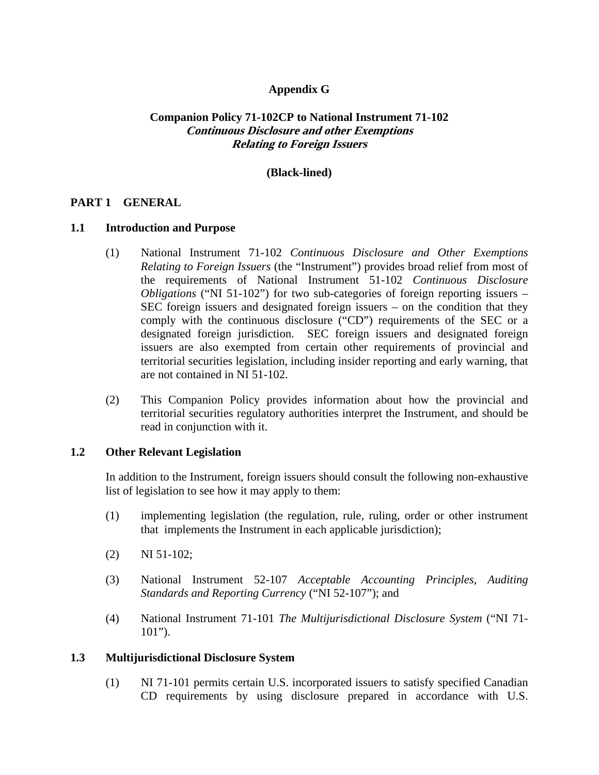## **Appendix G**

# **Companion Policy 71-102CP to National Instrument 71-102 Continuous Disclosure and other Exemptions Relating to Foreign Issuers**

## **(Black-lined)**

## **PART 1 GENERAL**

#### **1.1 Introduction and Purpose**

- (1) National Instrument 71-102 *Continuous Disclosure and Other Exemptions Relating to Foreign Issuers* (the "Instrument") provides broad relief from most of the requirements of National Instrument 51-102 *Continuous Disclosure Obligations* ("NI 51-102") for two sub-categories of foreign reporting issuers – SEC foreign issuers and designated foreign issuers – on the condition that they comply with the continuous disclosure ("CD") requirements of the SEC or a designated foreign jurisdiction. SEC foreign issuers and designated foreign issuers are also exempted from certain other requirements of provincial and territorial securities legislation, including insider reporting and early warning, that are not contained in NI 51-102.
- (2) This Companion Policy provides information about how the provincial and territorial securities regulatory authorities interpret the Instrument, and should be read in conjunction with it.

### **1.2 Other Relevant Legislation**

In addition to the Instrument, foreign issuers should consult the following non-exhaustive list of legislation to see how it may apply to them:

- (1) implementing legislation (the regulation, rule, ruling, order or other instrument that implements the Instrument in each applicable jurisdiction);
- (2) NI 51-102;
- (3) National Instrument 52-107 *Acceptable Accounting Principles*, *Auditing Standards and Reporting Currency* ("NI 52-107"); and
- (4) National Instrument 71-101 *The Multijurisdictional Disclosure System* ("NI 71-  $101$ ").

### **1.3 Multijurisdictional Disclosure System**

(1) NI 71-101 permits certain U.S. incorporated issuers to satisfy specified Canadian CD requirements by using disclosure prepared in accordance with U.S.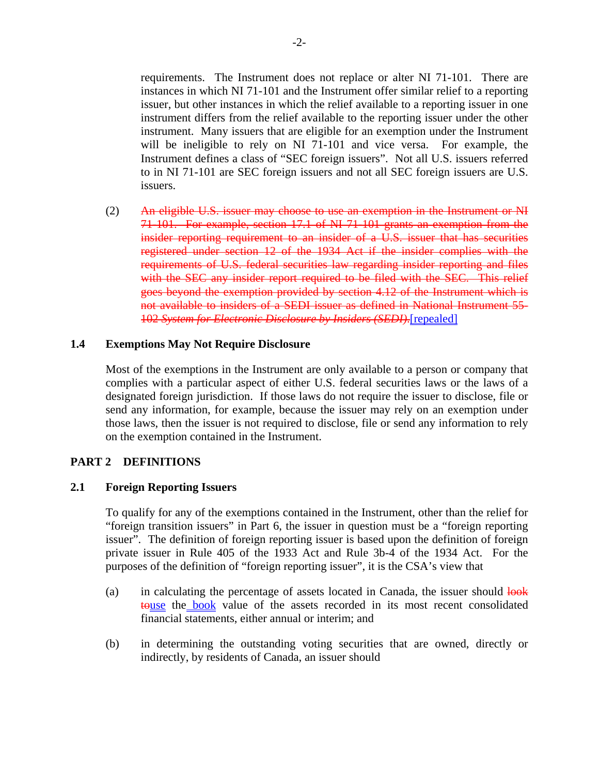requirements. The Instrument does not replace or alter NI 71-101. There are instances in which NI 71-101 and the Instrument offer similar relief to a reporting issuer, but other instances in which the relief available to a reporting issuer in one instrument differs from the relief available to the reporting issuer under the other instrument. Many issuers that are eligible for an exemption under the Instrument will be ineligible to rely on NI 71-101 and vice versa. For example, the Instrument defines a class of "SEC foreign issuers". Not all U.S. issuers referred to in NI 71-101 are SEC foreign issuers and not all SEC foreign issuers are U.S. issuers.

(2) An eligible U.S. issuer may choose to use an exemption in the Instrument or NI 71-101. For example, section 17.1 of NI 71-101 grants an exemption from the insider reporting requirement to an insider of a U.S. issuer that has securities registered under section 12 of the 1934 Act if the insider complies with the requirements of U.S. federal securities law regarding insider reporting and files with the SEC any insider report required to be filed with the SEC. This relief goes beyond the exemption provided by section 4.12 of the Instrument which is not available to insiders of a SEDI issuer as defined in National Instrument 55- 102 *System for Electronic Disclosure by Insiders (SEDI)*.[repealed]

## **1.4 Exemptions May Not Require Disclosure**

Most of the exemptions in the Instrument are only available to a person or company that complies with a particular aspect of either U.S. federal securities laws or the laws of a designated foreign jurisdiction. If those laws do not require the issuer to disclose, file or send any information, for example, because the issuer may rely on an exemption under those laws, then the issuer is not required to disclose, file or send any information to rely on the exemption contained in the Instrument.

### **PART 2 DEFINITIONS**

### **2.1 Foreign Reporting Issuers**

To qualify for any of the exemptions contained in the Instrument, other than the relief for "foreign transition issuers" in Part 6, the issuer in question must be a "foreign reporting issuer". The definition of foreign reporting issuer is based upon the definition of foreign private issuer in Rule 405 of the 1933 Act and Rule 3b-4 of the 1934 Act. For the purposes of the definition of "foreign reporting issuer", it is the CSA's view that

- (a) in calculating the percentage of assets located in Canada, the issuer should  $\frac{1}{\text{bok}}$ touse the book value of the assets recorded in its most recent consolidated financial statements, either annual or interim; and
- (b) in determining the outstanding voting securities that are owned, directly or indirectly, by residents of Canada, an issuer should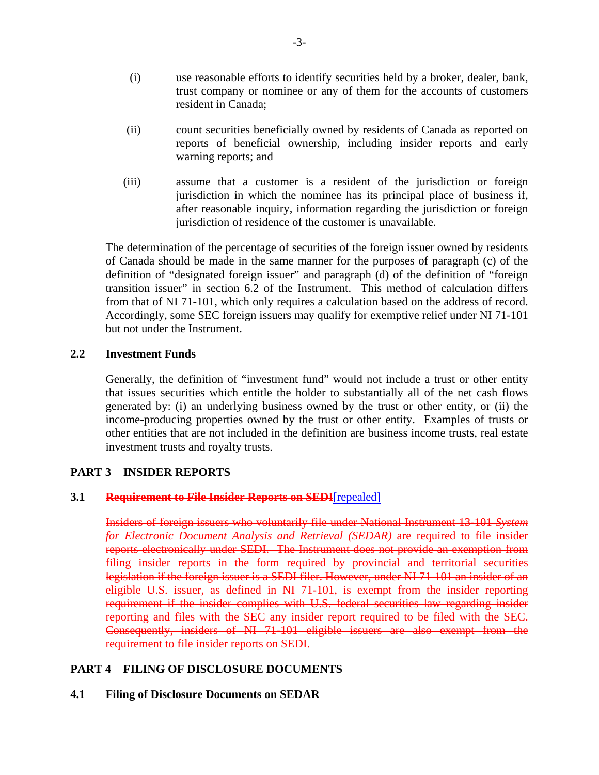- (i) use reasonable efforts to identify securities held by a broker, dealer, bank, trust company or nominee or any of them for the accounts of customers resident in Canada;
- (ii) count securities beneficially owned by residents of Canada as reported on reports of beneficial ownership, including insider reports and early warning reports; and
- (iii) assume that a customer is a resident of the jurisdiction or foreign jurisdiction in which the nominee has its principal place of business if, after reasonable inquiry, information regarding the jurisdiction or foreign jurisdiction of residence of the customer is unavailable.

The determination of the percentage of securities of the foreign issuer owned by residents of Canada should be made in the same manner for the purposes of paragraph (c) of the definition of "designated foreign issuer" and paragraph (d) of the definition of "foreign transition issuer" in section 6.2 of the Instrument. This method of calculation differs from that of NI 71-101, which only requires a calculation based on the address of record. Accordingly, some SEC foreign issuers may qualify for exemptive relief under NI 71-101 but not under the Instrument.

### **2.2 Investment Funds**

Generally, the definition of "investment fund" would not include a trust or other entity that issues securities which entitle the holder to substantially all of the net cash flows generated by: (i) an underlying business owned by the trust or other entity, or (ii) the income-producing properties owned by the trust or other entity. Examples of trusts or other entities that are not included in the definition are business income trusts, real estate investment trusts and royalty trusts.

### **PART 3 INSIDER REPORTS**

#### **3.1 Requirement to File Insider Reports on SEDI**[repealed]

Insiders of foreign issuers who voluntarily file under National Instrument 13-101 *System for Electronic Document Analysis and Retrieval (SEDAR)* are required to file insider reports electronically under SEDI. The Instrument does not provide an exemption from filing insider reports in the form required by provincial and territorial securities legislation if the foreign issuer is a SEDI filer. However, under NI 71-101 an insider of an eligible U.S. issuer, as defined in NI 71-101, is exempt from the insider reporting requirement if the insider complies with U.S. federal securities law regarding insider reporting and files with the SEC any insider report required to be filed with the SEC. Consequently, insiders of NI 71-101 eligible issuers are also exempt from the requirement to file insider reports on SEDI.

### **PART 4 FILING OF DISCLOSURE DOCUMENTS**

#### **4.1 Filing of Disclosure Documents on SEDAR**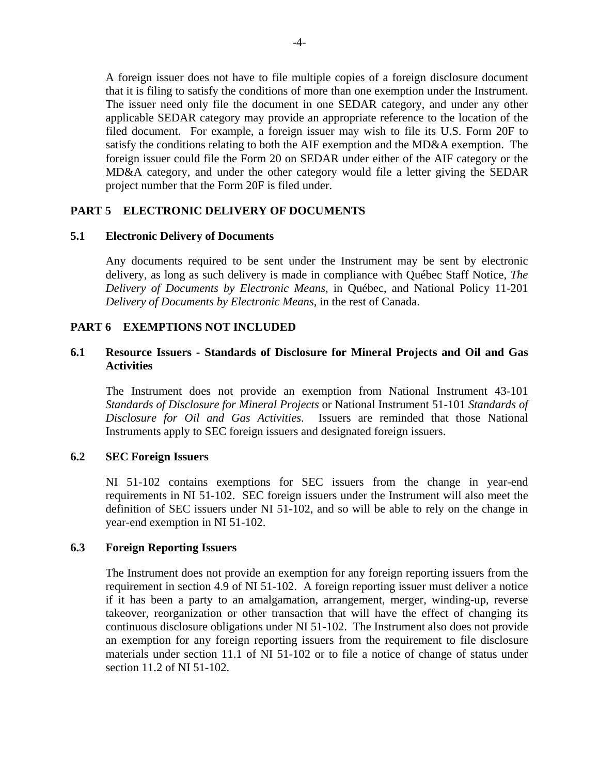A foreign issuer does not have to file multiple copies of a foreign disclosure document that it is filing to satisfy the conditions of more than one exemption under the Instrument. The issuer need only file the document in one SEDAR category, and under any other applicable SEDAR category may provide an appropriate reference to the location of the filed document. For example, a foreign issuer may wish to file its U.S. Form 20F to satisfy the conditions relating to both the AIF exemption and the MD&A exemption. The foreign issuer could file the Form 20 on SEDAR under either of the AIF category or the MD&A category, and under the other category would file a letter giving the SEDAR project number that the Form 20F is filed under.

## **PART 5 ELECTRONIC DELIVERY OF DOCUMENTS**

#### **5.1 Electronic Delivery of Documents**

Any documents required to be sent under the Instrument may be sent by electronic delivery, as long as such delivery is made in compliance with Québec Staff Notice, *The Delivery of Documents by Electronic Means*, in Québec, and National Policy 11-201 *Delivery of Documents by Electronic Means*, in the rest of Canada.

### **PART 6 EXEMPTIONS NOT INCLUDED**

## **6.1 Resource Issuers - Standards of Disclosure for Mineral Projects and Oil and Gas Activities**

The Instrument does not provide an exemption from National Instrument 43-101 *Standards of Disclosure for Mineral Projects* or National Instrument 51-101 *Standards of Disclosure for Oil and Gas Activities*. Issuers are reminded that those National Instruments apply to SEC foreign issuers and designated foreign issuers.

### **6.2 SEC Foreign Issuers**

NI 51-102 contains exemptions for SEC issuers from the change in year-end requirements in NI 51-102. SEC foreign issuers under the Instrument will also meet the definition of SEC issuers under NI 51-102, and so will be able to rely on the change in year-end exemption in NI 51-102.

#### **6.3 Foreign Reporting Issuers**

The Instrument does not provide an exemption for any foreign reporting issuers from the requirement in section 4.9 of NI 51-102. A foreign reporting issuer must deliver a notice if it has been a party to an amalgamation, arrangement, merger, winding-up, reverse takeover, reorganization or other transaction that will have the effect of changing its continuous disclosure obligations under NI 51-102. The Instrument also does not provide an exemption for any foreign reporting issuers from the requirement to file disclosure materials under section 11.1 of NI 51-102 or to file a notice of change of status under section 11.2 of NI 51-102.